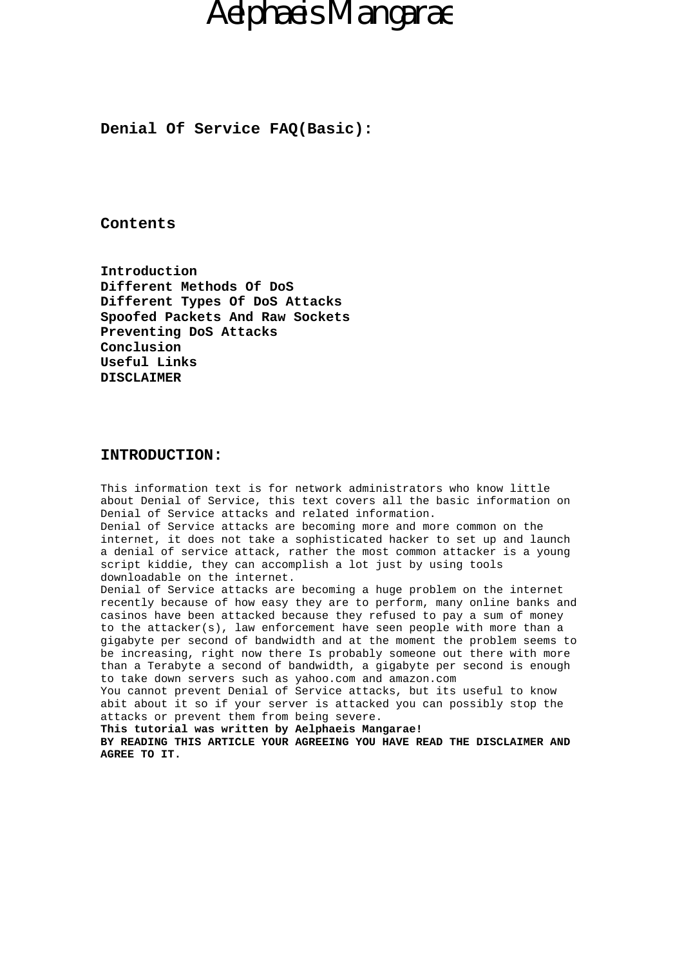**Denial Of Service FAQ(Basic):**

## **Contents**

**Introduction Different Methods Of DoS Different Types Of DoS Attacks Spoofed Packets And Raw Sockets Preventing DoS Attacks Conclusion Useful Links DISCLAIMER**

### **INTRODUCTION:**

This information text is for network administrators who know little about Denial of Service, this text covers all the basic information on Denial of Service attacks and related information. Denial of Service attacks are becoming more and more common on the internet, it does not take a sophisticated hacker to set up and launch a denial of service attack, rather the most common attacker is a young script kiddie, they can accomplish a lot just by using tools downloadable on the internet. Denial of Service attacks are becoming a huge problem on the internet recently because of how easy they are to perform, many online banks and casinos have been attacked because they refused to pay a sum of money to the attacker(s), law enforcement have seen people with more than a gigabyte per second of bandwidth and at the moment the problem seems to be increasing, right now there Is probably someone out there with more than a Terabyte a second of bandwidth, a gigabyte per second is enough to take down servers such as yahoo.com and amazon.com You cannot prevent Denial of Service attacks, but its useful to know abit about it so if your server is attacked you can possibly stop the attacks or prevent them from being severe. **This tutorial was written by Aelphaeis Mangarae!**

**BY READING THIS ARTICLE YOUR AGREEING YOU HAVE READ THE DISCLAIMER AND AGREE TO IT.**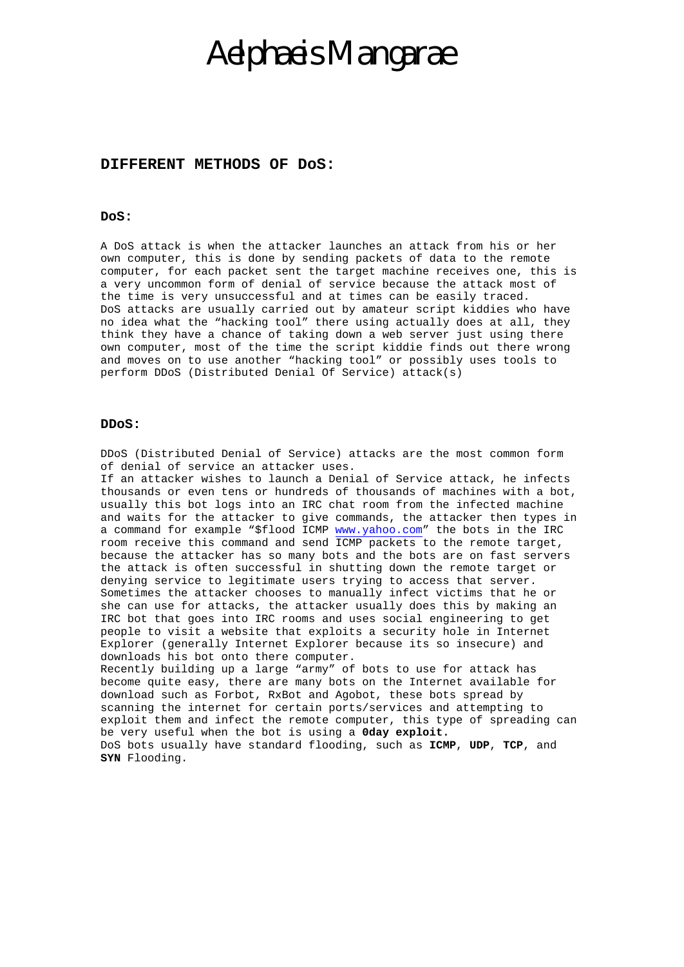### **DIFFERENT METHODS OF DoS:**

### **DoS:**

A DoS attack is when the attacker launches an attack from his or her own computer, this is done by sending packets of data to the remote computer, for each packet sent the target machine receives one, this is a very uncommon form of denial of service because the attack most of the time is very unsuccessful and at times can be easily traced. DoS attacks are usually carried out by amateur script kiddies who have no idea what the "hacking tool" there using actually does at all, they think they have a chance of taking down a web server just using there own computer, most of the time the script kiddie finds out there wrong and moves on to use another "hacking tool" or possibly uses tools to perform DDoS (Distributed Denial Of Service) attack(s)

#### **DDoS:**

DDoS (Distributed Denial of Service) attacks are the most common form of denial of service an attacker uses.

If an attacker wishes to launch a Denial of Service attack, he infects thousands or even tens or hundreds of thousands of machines with a bot, usually this bot logs into an IRC ch[at room from t](http://www.yahoo.com/)he infected machine and waits for the attacker to give commands, the attacker then types in a command for example "\$flood ICMP www.yahoo.com" the bots in the IRC room receive this command and send ICMP packets to the remote target, because the attacker has so many bots and the bots are on fast servers the attack is often successful in shutting down the remote target or denying service to legitimate users trying to access that server. Sometimes the attacker chooses to manually infect victims that he or she can use for attacks, the attacker usually does this by making an IRC bot that goes into IRC rooms and uses social engineering to get people to visit a website that exploits a security hole in Internet Explorer (generally Internet Explorer because its so insecure) and downloads his bot onto there computer. Recently building up a large "army" of bots to use for attack has become quite easy, there are many bots on the Internet available for

download such as Forbot, RxBot and Agobot, these bots spread by scanning the internet for certain ports/services and attempting to exploit them and infect the remote computer, this type of spreading can be very useful when the bot is using a **0day exploit.** DoS bots usually have standard flooding, such as **ICMP**, **UDP**, **TCP**, and **SYN** Flooding.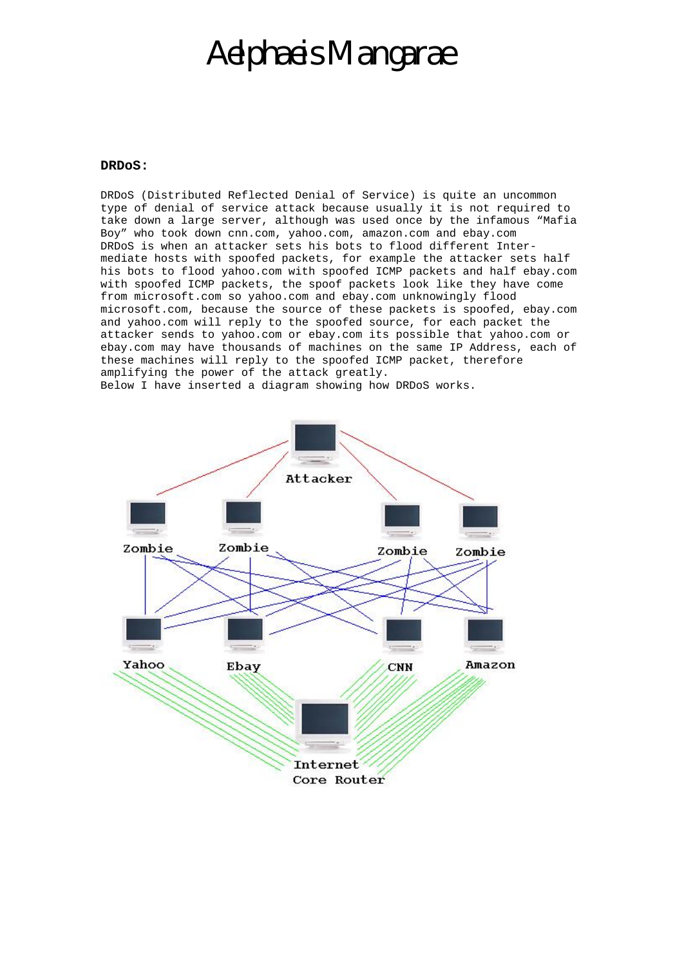#### **DRDoS:**

DRDoS (Distributed Reflected Denial of Service) is quite an uncommon type of denial of service attack because usually it is not required to take down a large server, although was used once by the infamous "Mafia Boy" who took down cnn.com, yahoo.com, amazon.com and ebay.com DRDoS is when an attacker sets his bots to flood different Intermediate hosts with spoofed packets, for example the attacker sets half his bots to flood yahoo.com with spoofed ICMP packets and half ebay.com with spoofed ICMP packets, the spoof packets look like they have come from microsoft.com so yahoo.com and ebay.com unknowingly flood microsoft.com, because the source of these packets is spoofed, ebay.com and yahoo.com will reply to the spoofed source, for each packet the attacker sends to yahoo.com or ebay.com its possible that yahoo.com or ebay.com may have thousands of machines on the same IP Address, each of these machines will reply to the spoofed ICMP packet, therefore amplifying the power of the attack greatly. Below I have inserted a diagram showing how DRDoS works.

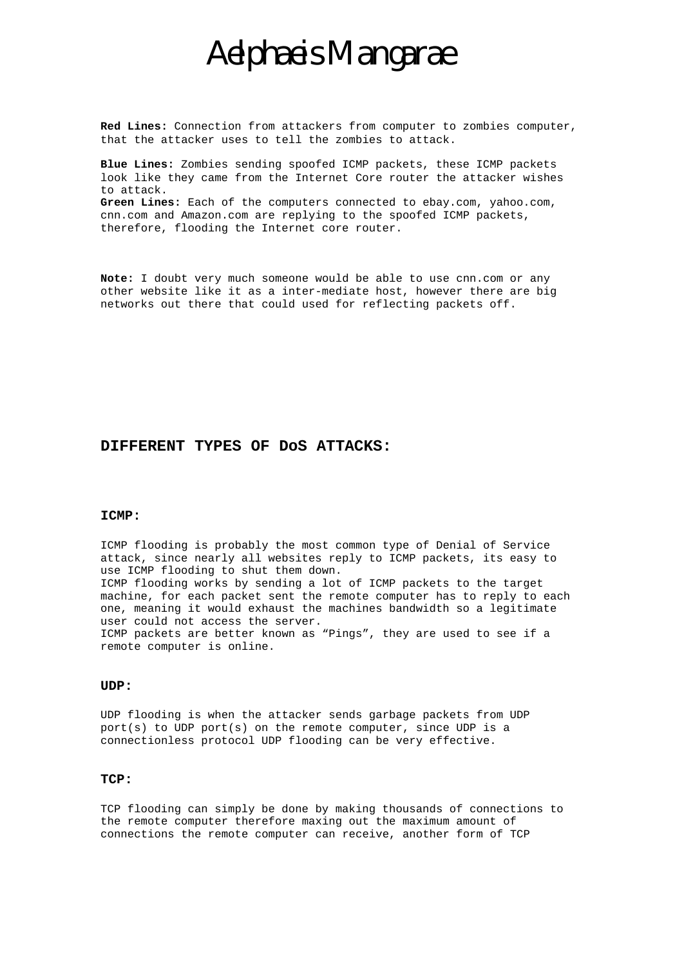**Red Lines:** Connection from attackers from computer to zombies computer, that the attacker uses to tell the zombies to attack.

**Blue Lines:** Zombies sending spoofed ICMP packets, these ICMP packets look like they came from the Internet Core router the attacker wishes to attack. **Green Lines:** Each of the computers connected to ebay.com, yahoo.com, cnn.com and Amazon.com are replying to the spoofed ICMP packets, therefore, flooding the Internet core router.

**Note:** I doubt very much someone would be able to use cnn.com or any other website like it as a inter-mediate host, however there are big networks out there that could used for reflecting packets off.

### **DIFFERENT TYPES OF DoS ATTACKS:**

#### **ICMP:**

ICMP flooding is probably the most common type of Denial of Service attack, since nearly all websites reply to ICMP packets, its easy to use ICMP flooding to shut them down. ICMP flooding works by sending a lot of ICMP packets to the target machine, for each packet sent the remote computer has to reply to each one, meaning it would exhaust the machines bandwidth so a legitimate user could not access the server. ICMP packets are better known as "Pings", they are used to see if a remote computer is online.

#### **UDP:**

UDP flooding is when the attacker sends garbage packets from UDP port(s) to UDP port(s) on the remote computer, since UDP is a connectionless protocol UDP flooding can be very effective.

### **TCP:**

TCP flooding can simply be done by making thousands of connections to the remote computer therefore maxing out the maximum amount of connections the remote computer can receive, another form of TCP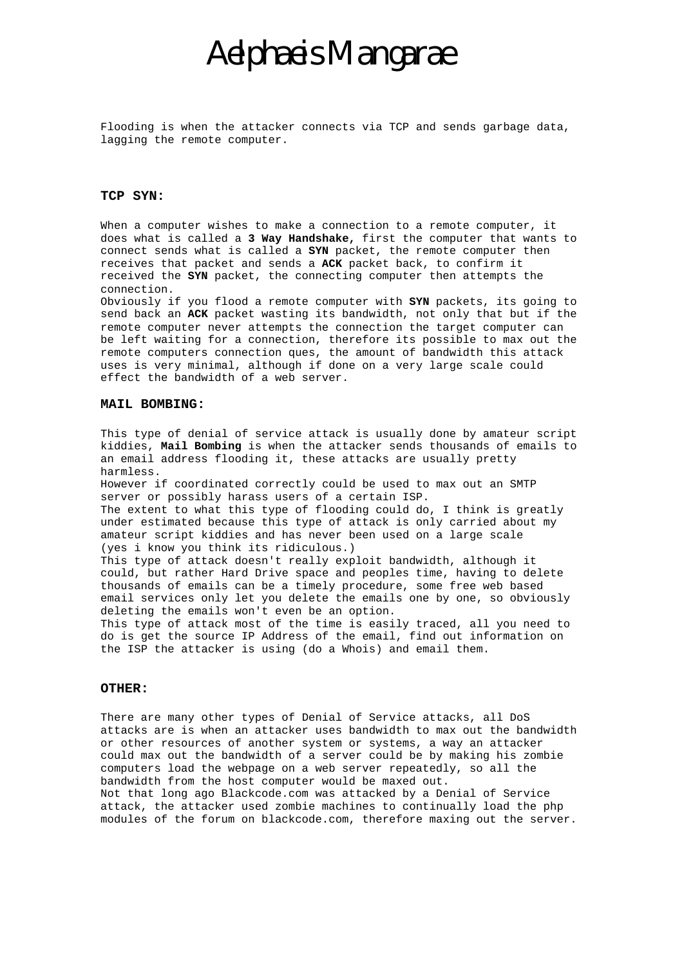Flooding is when the attacker connects via TCP and sends garbage data, lagging the remote computer.

### **TCP SYN:**

When a computer wishes to make a connection to a remote computer, it does what is called a **3 Way Handshake,** first the computer that wants to connect sends what is called a **SYN** packet, the remote computer then receives that packet and sends a **ACK** packet back, to confirm it received the **SYN** packet, the connecting computer then attempts the connection.

Obviously if you flood a remote computer with **SYN** packets, its going to send back an **ACK** packet wasting its bandwidth, not only that but if the remote computer never attempts the connection the target computer can be left waiting for a connection, therefore its possible to max out the remote computers connection ques, the amount of bandwidth this attack uses is very minimal, although if done on a very large scale could effect the bandwidth of a web server.

#### **MAIL BOMBING:**

This type of denial of service attack is usually done by amateur script kiddies, **Mail Bombing** is when the attacker sends thousands of emails to an email address flooding it, these attacks are usually pretty harmless.

However if coordinated correctly could be used to max out an SMTP server or possibly harass users of a certain ISP.

The extent to what this type of flooding could do, I think is greatly under estimated because this type of attack is only carried about my amateur script kiddies and has never been used on a large scale (yes i know you think its ridiculous.)

This type of attack doesn't really exploit bandwidth, although it could, but rather Hard Drive space and peoples time, having to delete thousands of emails can be a timely procedure, some free web based email services only let you delete the emails one by one, so obviously deleting the emails won't even be an option.

This type of attack most of the time is easily traced, all you need to do is get the source IP Address of the email, find out information on the ISP the attacker is using (do a Whois) and email them.

### **OTHER:**

There are many other types of Denial of Service attacks, all DoS attacks are is when an attacker uses bandwidth to max out the bandwidth or other resources of another system or systems, a way an attacker could max out the bandwidth of a server could be by making his zombie computers load the webpage on a web server repeatedly, so all the bandwidth from the host computer would be maxed out. Not that long ago Blackcode.com was attacked by a Denial of Service attack, the attacker used zombie machines to continually load the php modules of the forum on blackcode.com, therefore maxing out the server.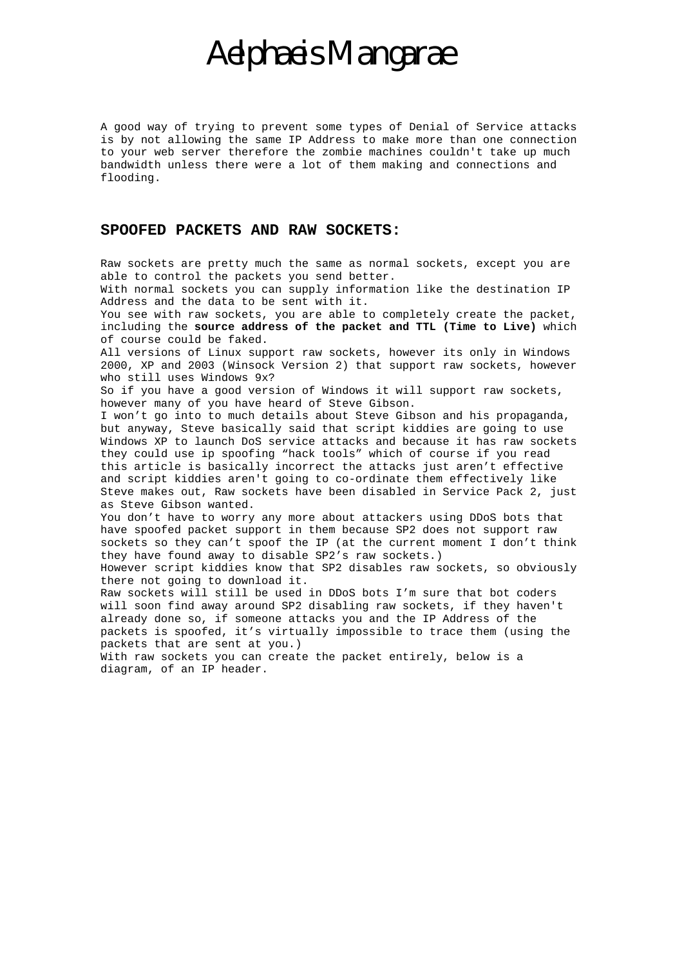A good way of trying to prevent some types of Denial of Service attacks is by not allowing the same IP Address to make more than one connection to your web server therefore the zombie machines couldn't take up much bandwidth unless there were a lot of them making and connections and flooding.

## **SPOOFED PACKETS AND RAW SOCKETS:**

Raw sockets are pretty much the same as normal sockets, except you are able to control the packets you send better.

With normal sockets you can supply information like the destination IP Address and the data to be sent with it.

You see with raw sockets, you are able to completely create the packet, including the **source address of the packet and TTL (Time to Live)** which of course could be faked.

All versions of Linux support raw sockets, however its only in Windows 2000, XP and 2003 (Winsock Version 2) that support raw sockets, however who still uses Windows 9x?

So if you have a good version of Windows it will support raw sockets, however many of you have heard of Steve Gibson.

I won't go into to much details about Steve Gibson and his propaganda, but anyway, Steve basically said that script kiddies are going to use Windows XP to launch DoS service attacks and because it has raw sockets they could use ip spoofing "hack tools" which of course if you read this article is basically incorrect the attacks just aren't effective and script kiddies aren't going to co-ordinate them effectively like Steve makes out, Raw sockets have been disabled in Service Pack 2, just as Steve Gibson wanted.

You don't have to worry any more about attackers using DDoS bots that have spoofed packet support in them because SP2 does not support raw sockets so they can't spoof the IP (at the current moment I don't think they have found away to disable SP2's raw sockets.)

However script kiddies know that SP2 disables raw sockets, so obviously there not going to download it.

Raw sockets will still be used in DDoS bots I'm sure that bot coders will soon find away around SP2 disabling raw sockets, if they haven't already done so, if someone attacks you and the IP Address of the packets is spoofed, it's virtually impossible to trace them (using the packets that are sent at you.)

With raw sockets you can create the packet entirely, below is a diagram, of an IP header.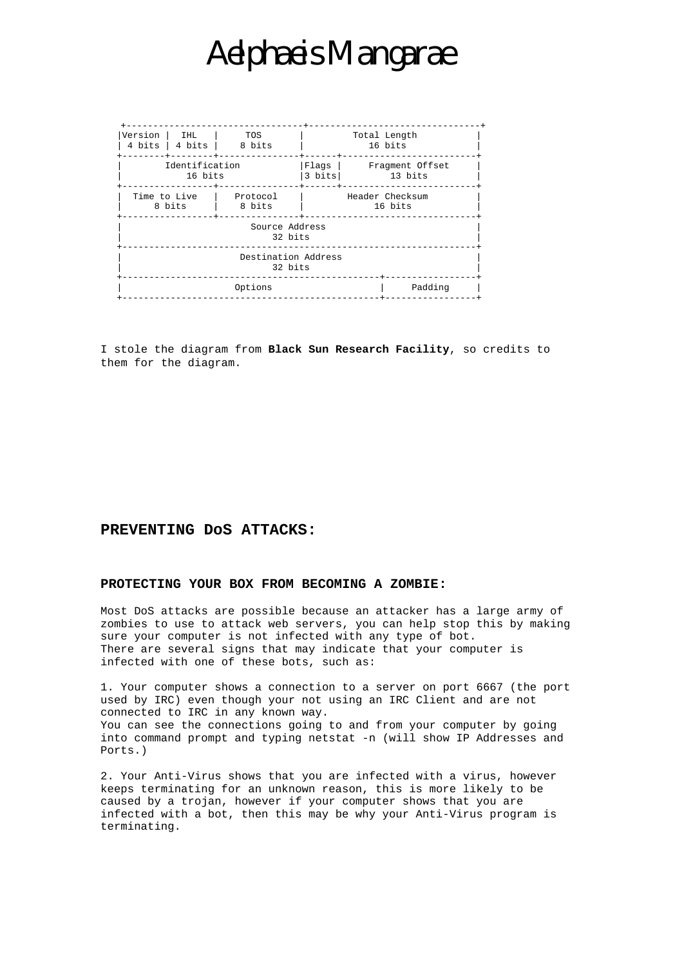| Version                        | <b>THL</b><br>4 bits $\vert$ 4 bits $\vert$ | TOS<br>8 bits      | Total Length<br>16 bits       |                            |  |  |
|--------------------------------|---------------------------------------------|--------------------|-------------------------------|----------------------------|--|--|
| Identification<br>16 bits      |                                             |                    | $Flaqs$  <br>$3 \text{ bits}$ | Fraqment Offset<br>13 bits |  |  |
| Time to Live<br>8 bits         |                                             | Protocol<br>8 bits | Header Checksum<br>16 bits    |                            |  |  |
| Source Address<br>32 bits      |                                             |                    |                               |                            |  |  |
| Destination Address<br>32 bits |                                             |                    |                               |                            |  |  |
|                                | Padding                                     |                    |                               |                            |  |  |

I stole the diagram from **Black Sun Research Facility**, so credits to them for the diagram.

## **PREVENTING DoS ATTACKS:**

#### **PROTECTING YOUR BOX FROM BECOMING A ZOMBIE:**

Most DoS attacks are possible because an attacker has a large army of zombies to use to attack web servers, you can help stop this by making sure your computer is not infected with any type of bot. There are several signs that may indicate that your computer is infected with one of these bots, such as:

1. Your computer shows a connection to a server on port 6667 (the port used by IRC) even though your not using an IRC Client and are not connected to IRC in any known way. You can see the connections going to and from your computer by going into command prompt and typing netstat -n (will show IP Addresses and Ports.)

2. Your Anti-Virus shows that you are infected with a virus, however keeps terminating for an unknown reason, this is more likely to be caused by a trojan, however if your computer shows that you are infected with a bot, then this may be why your Anti-Virus program is terminating.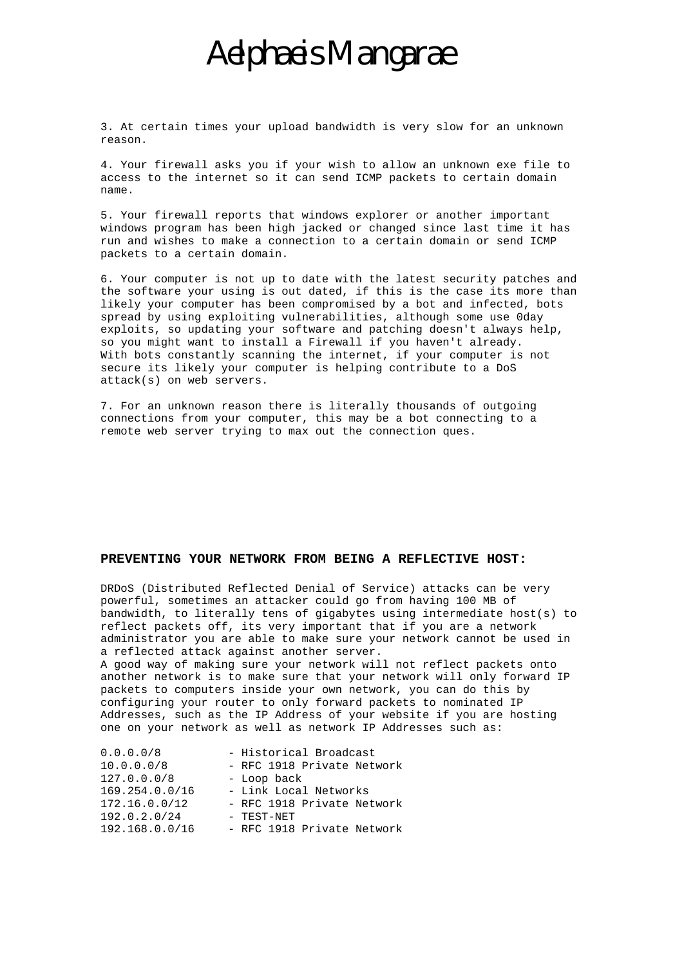3. At certain times your upload bandwidth is very slow for an unknown reason.

4. Your firewall asks you if your wish to allow an unknown exe file to access to the internet so it can send ICMP packets to certain domain name.

5. Your firewall reports that windows explorer or another important windows program has been high jacked or changed since last time it has run and wishes to make a connection to a certain domain or send ICMP packets to a certain domain.

6. Your computer is not up to date with the latest security patches and the software your using is out dated, if this is the case its more than likely your computer has been compromised by a bot and infected, bots spread by using exploiting vulnerabilities, although some use 0day exploits, so updating your software and patching doesn't always help, so you might want to install a Firewall if you haven't already. With bots constantly scanning the internet, if your computer is not secure its likely your computer is helping contribute to a DoS attack(s) on web servers.

7. For an unknown reason there is literally thousands of outgoing connections from your computer, this may be a bot connecting to a remote web server trying to max out the connection ques.

### **PREVENTING YOUR NETWORK FROM BEING A REFLECTIVE HOST:**

DRDoS (Distributed Reflected Denial of Service) attacks can be very powerful, sometimes an attacker could go from having 100 MB of bandwidth, to literally tens of gigabytes using intermediate host(s) to reflect packets off, its very important that if you are a network administrator you are able to make sure your network cannot be used in a reflected attack against another server.

A good way of making sure your network will not reflect packets onto another network is to make sure that your network will only forward IP packets to computers inside your own network, you can do this by configuring your router to only forward packets to nominated IP Addresses, such as the IP Address of your website if you are hosting one on your network as well as network IP Addresses such as:

| 0.0.0.0/8      | - Historical Broadcast     |
|----------------|----------------------------|
| 10.0.0.0/8     | - RFC 1918 Private Network |
| 127.0.0.0/8    | - Loop back                |
| 169.254.0.0/16 | - Link Local Networks      |
| 172.16.0.0/12  | - RFC 1918 Private Network |
| 192.0.2.0/24   | - TEST-NET                 |
| 192.168.0.0/16 | - RFC 1918 Private Network |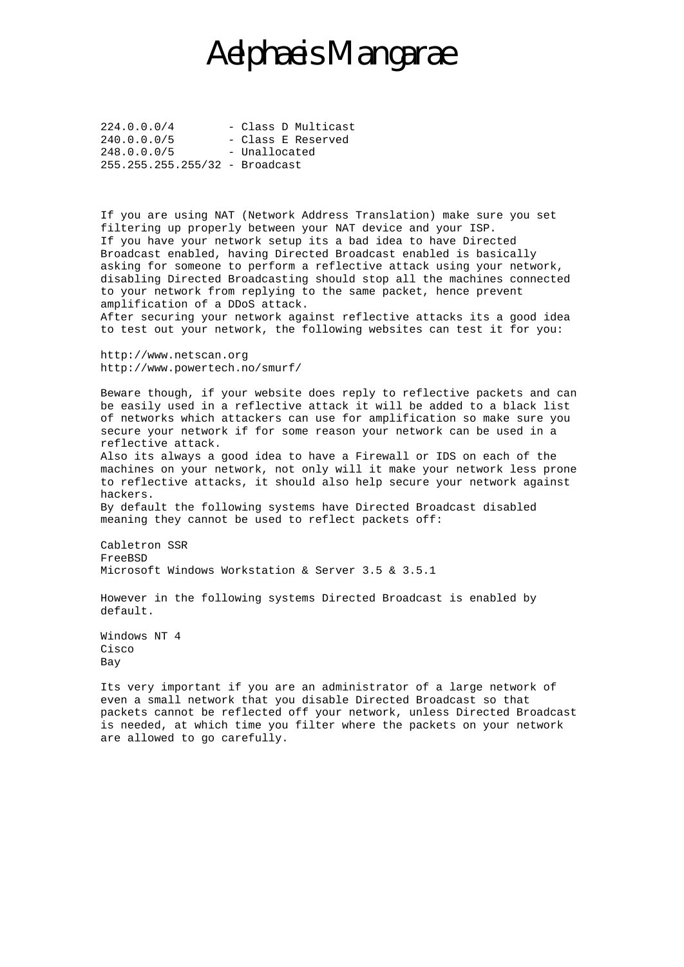$224.0.0.0/4$  - Class D Multicast 240.0.0.0/5 - Class E Reserved 248.0.0.0/5 - Unallocated 255.255.255.255/32 - Broadcast

If you are using NAT (Network Address Translation) make sure you set filtering up properly between your NAT device and your ISP. If you have your network setup its a bad idea to have Directed Broadcast enabled, having Directed Broadcast enabled is basically asking for someone to perform a reflective attack using your network, disabling Directed Broadcasting should stop all the machines connected to your network from replying to the same packet, hence prevent amplification of a DDoS attack. After securing your network against reflective attacks its a good idea to test out your network, the following websites can test it for you:

http://www.netscan.org http://www.powertech.no/smurf/

Beware though, if your website does reply to reflective packets and can be easily used in a reflective attack it will be added to a black list of networks which attackers can use for amplification so make sure you secure your network if for some reason your network can be used in a reflective attack.

Also its always a good idea to have a Firewall or IDS on each of the machines on your network, not only will it make your network less prone to reflective attacks, it should also help secure your network against hackers.

By default the following systems have Directed Broadcast disabled meaning they cannot be used to reflect packets off:

Cabletron SSR FreeBSD Microsoft Windows Workstation & Server 3.5 & 3.5.1

However in the following systems Directed Broadcast is enabled by default.

Windows NT 4 Cisco Bay

Its very important if you are an administrator of a large network of even a small network that you disable Directed Broadcast so that packets cannot be reflected off your network, unless Directed Broadcast is needed, at which time you filter where the packets on your network are allowed to go carefully.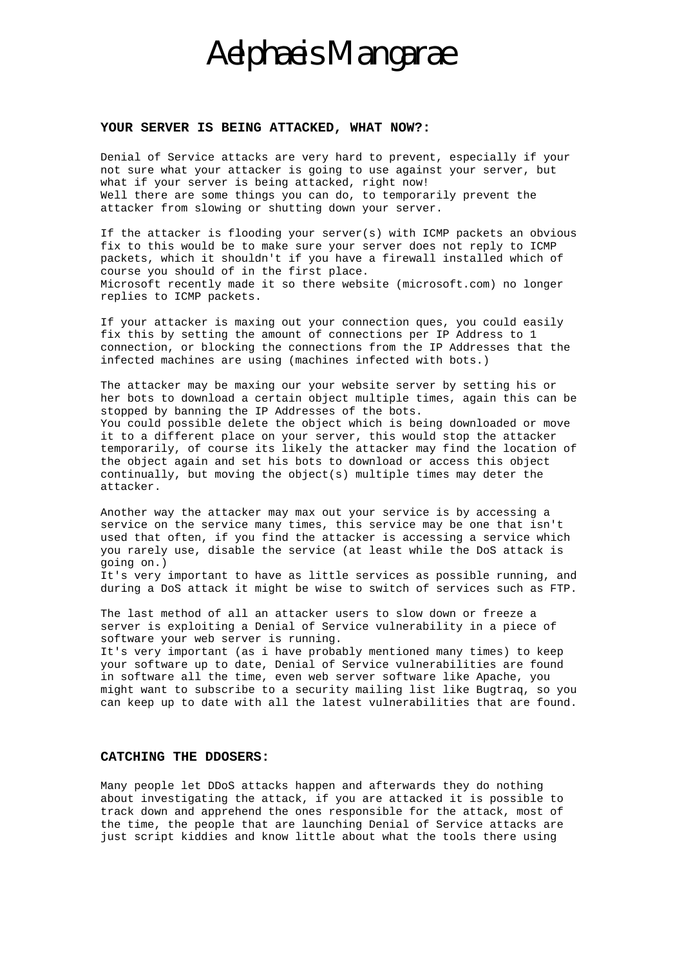#### **YOUR SERVER IS BEING ATTACKED, WHAT NOW?:**

Denial of Service attacks are very hard to prevent, especially if your not sure what your attacker is going to use against your server, but what if your server is being attacked, right now! Well there are some things you can do, to temporarily prevent the attacker from slowing or shutting down your server.

If the attacker is flooding your server(s) with ICMP packets an obvious fix to this would be to make sure your server does not reply to ICMP packets, which it shouldn't if you have a firewall installed which of course you should of in the first place. Microsoft recently made it so there website (microsoft.com) no longer replies to ICMP packets.

If your attacker is maxing out your connection ques, you could easily fix this by setting the amount of connections per IP Address to 1 connection, or blocking the connections from the IP Addresses that the infected machines are using (machines infected with bots.)

The attacker may be maxing our your website server by setting his or her bots to download a certain object multiple times, again this can be stopped by banning the IP Addresses of the bots. You could possible delete the object which is being downloaded or move it to a different place on your server, this would stop the attacker temporarily, of course its likely the attacker may find the location of the object again and set his bots to download or access this object continually, but moving the object(s) multiple times may deter the attacker.

Another way the attacker may max out your service is by accessing a service on the service many times, this service may be one that isn't used that often, if you find the attacker is accessing a service which you rarely use, disable the service (at least while the DoS attack is going on.)

It's very important to have as little services as possible running, and during a DoS attack it might be wise to switch of services such as FTP.

The last method of all an attacker users to slow down or freeze a server is exploiting a Denial of Service vulnerability in a piece of software your web server is running.

It's very important (as i have probably mentioned many times) to keep your software up to date, Denial of Service vulnerabilities are found in software all the time, even web server software like Apache, you might want to subscribe to a security mailing list like Bugtraq, so you can keep up to date with all the latest vulnerabilities that are found.

#### **CATCHING THE DDOSERS:**

Many people let DDoS attacks happen and afterwards they do nothing about investigating the attack, if you are attacked it is possible to track down and apprehend the ones responsible for the attack, most of the time, the people that are launching Denial of Service attacks are just script kiddies and know little about what the tools there using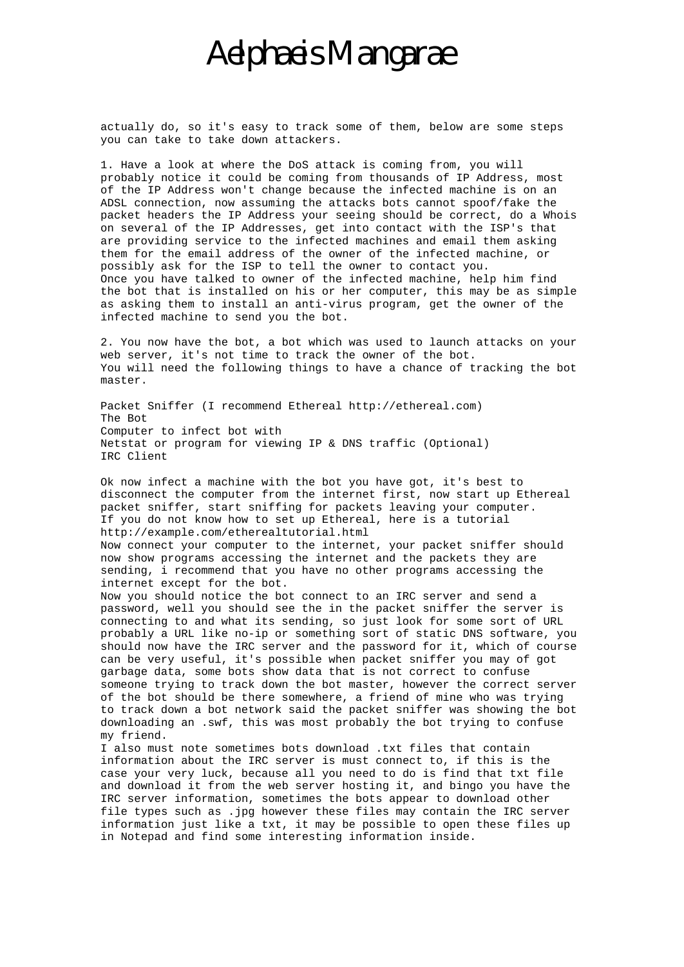actually do, so it's easy to track some of them, below are some steps you can take to take down attackers.

1. Have a look at where the DoS attack is coming from, you will probably notice it could be coming from thousands of IP Address, most of the IP Address won't change because the infected machine is on an ADSL connection, now assuming the attacks bots cannot spoof/fake the packet headers the IP Address your seeing should be correct, do a Whois on several of the IP Addresses, get into contact with the ISP's that are providing service to the infected machines and email them asking them for the email address of the owner of the infected machine, or possibly ask for the ISP to tell the owner to contact you. Once you have talked to owner of the infected machine, help him find the bot that is installed on his or her computer, this may be as simple as asking them to install an anti-virus program, get the owner of the infected machine to send you the bot.

2. You now have the bot, a bot which was used to launch attacks on your web server, it's not time to track the owner of the bot. You will need the following things to have a chance of tracking the bot master.

Packet Sniffer (I recommend Ethereal http://ethereal.com) The Bot Computer to infect bot with Netstat or program for viewing IP & DNS traffic (Optional) IRC Client

Ok now infect a machine with the bot you have got, it's best to disconnect the computer from the internet first, now start up Ethereal packet sniffer, start sniffing for packets leaving your computer. If you do not know how to set up Ethereal, here is a tutorial http://example.com/etherealtutorial.html

Now connect your computer to the internet, your packet sniffer should now show programs accessing the internet and the packets they are sending, i recommend that you have no other programs accessing the internet except for the bot.

Now you should notice the bot connect to an IRC server and send a password, well you should see the in the packet sniffer the server is connecting to and what its sending, so just look for some sort of URL probably a URL like no-ip or something sort of static DNS software, you should now have the IRC server and the password for it, which of course can be very useful, it's possible when packet sniffer you may of got garbage data, some bots show data that is not correct to confuse someone trying to track down the bot master, however the correct server of the bot should be there somewhere, a friend of mine who was trying to track down a bot network said the packet sniffer was showing the bot downloading an .swf, this was most probably the bot trying to confuse my friend.

I also must note sometimes bots download .txt files that contain information about the IRC server is must connect to, if this is the case your very luck, because all you need to do is find that txt file and download it from the web server hosting it, and bingo you have the IRC server information, sometimes the bots appear to download other file types such as .jpg however these files may contain the IRC server information just like a txt, it may be possible to open these files up in Notepad and find some interesting information inside.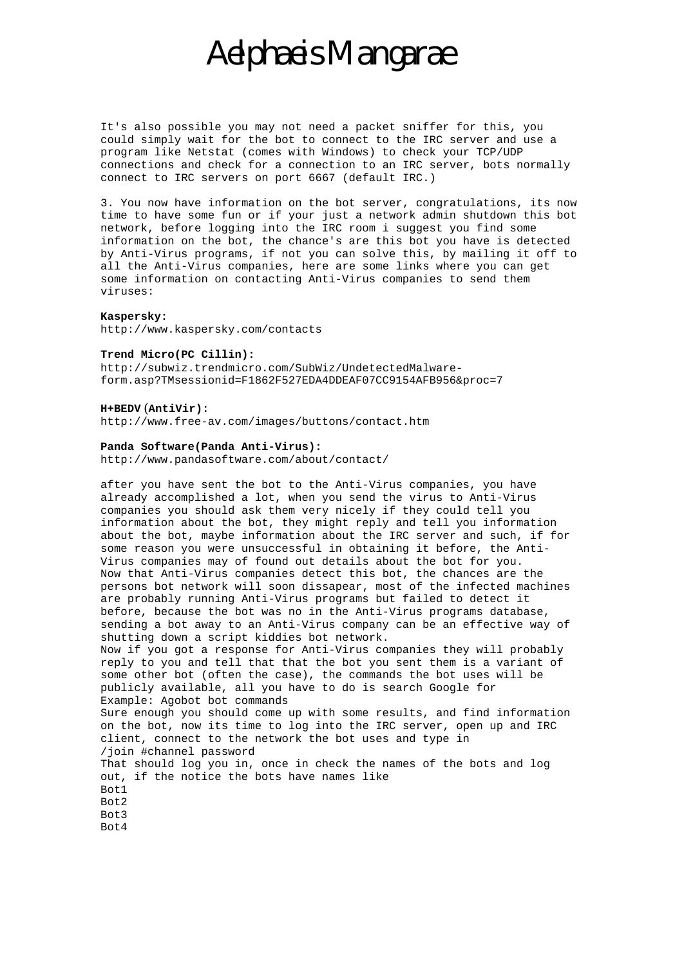It's also possible you may not need a packet sniffer for this, you could simply wait for the bot to connect to the IRC server and use a program like Netstat (comes with Windows) to check your TCP/UDP connections and check for a connection to an IRC server, bots normally connect to IRC servers on port 6667 (default IRC.)

3. You now have information on the bot server, congratulations, its now time to have some fun or if your just a network admin shutdown this bot network, before logging into the IRC room i suggest you find some information on the bot, the chance's are this bot you have is detected by Anti-Virus programs, if not you can solve this, by mailing it off to all the Anti-Virus companies, here are some links where you can get some information on contacting Anti-Virus companies to send them viruses:

#### **Kaspersky:**

http://www.kaspersky.com/contacts

#### **Trend Micro(PC Cillin):**

http://subwiz.trendmicro.com/SubWiz/UndetectedMalwareform.asp?TMsessionid=F1862F527EDA4DDEAF07CC9154AFB956&proc=7

#### **H+BEDV** (**AntiVir):**

http://www.free-av.com/images/buttons/contact.htm

#### **Panda Software(Panda Anti-Virus):**

http://www.pandasoftware.com/about/contact/

after you have sent the bot to the Anti-Virus companies, you have already accomplished a lot, when you send the virus to Anti-Virus companies you should ask them very nicely if they could tell you information about the bot, they might reply and tell you information about the bot, maybe information about the IRC server and such, if for some reason you were unsuccessful in obtaining it before, the Anti-Virus companies may of found out details about the bot for you. Now that Anti-Virus companies detect this bot, the chances are the persons bot network will soon dissapear, most of the infected machines are probably running Anti-Virus programs but failed to detect it before, because the bot was no in the Anti-Virus programs database, sending a bot away to an Anti-Virus company can be an effective way of shutting down a script kiddies bot network. Now if you got a response for Anti-Virus companies they will probably reply to you and tell that that the bot you sent them is a variant of some other bot (often the case), the commands the bot uses will be publicly available, all you have to do is search Google for Example: Agobot bot commands Sure enough you should come up with some results, and find information on the bot, now its time to log into the IRC server, open up and IRC client, connect to the network the bot uses and type in /join #channel password That should log you in, once in check the names of the bots and log out, if the notice the bots have names like Bot1 Bot2 Bot3 Bot4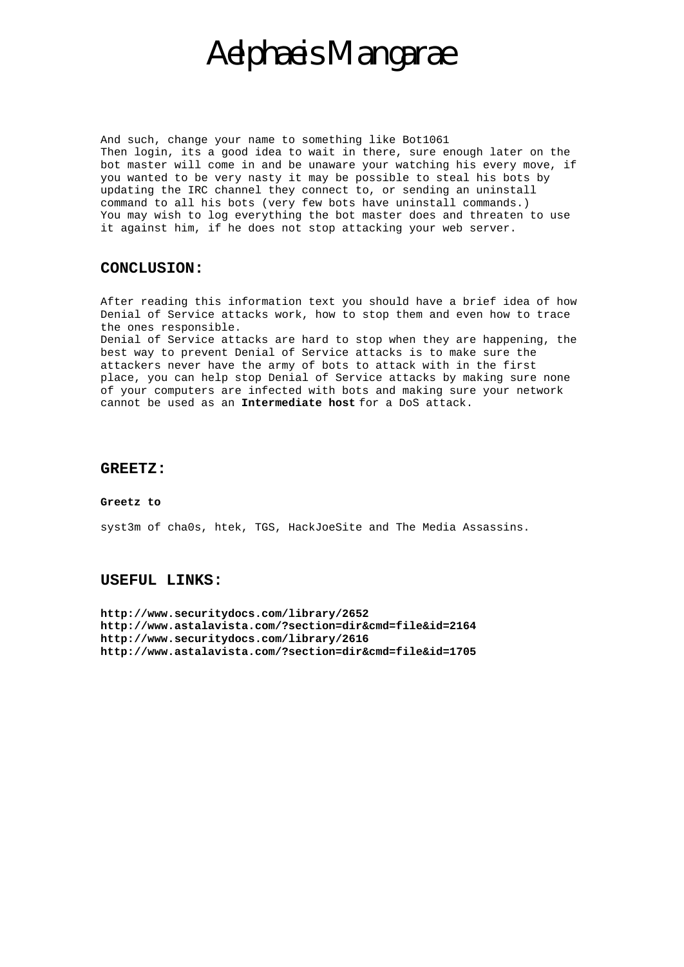And such, change your name to something like Bot1061 Then login, its a good idea to wait in there, sure enough later on the bot master will come in and be unaware your watching his every move, if you wanted to be very nasty it may be possible to steal his bots by updating the IRC channel they connect to, or sending an uninstall command to all his bots (very few bots have uninstall commands.) You may wish to log everything the bot master does and threaten to use it against him, if he does not stop attacking your web server.

### **CONCLUSION:**

After reading this information text you should have a brief idea of how Denial of Service attacks work, how to stop them and even how to trace the ones responsible.

Denial of Service attacks are hard to stop when they are happening, the best way to prevent Denial of Service attacks is to make sure the attackers never have the army of bots to attack with in the first place, you can help stop Denial of Service attacks by making sure none of your computers are infected with bots and making sure your network cannot be used as an **Intermediate host** for a DoS attack.

### **GREETZ:**

#### **Greetz to**

syst3m of cha0s, htek, TGS, HackJoeSite and The Media Assassins.

### **USEFUL LINKS:**

**http://www.securitydocs.com/library/2652 http://www.astalavista.com/?section=dir&cmd=file&id=2164 http://www.securitydocs.com/library/2616 http://www.astalavista.com/?section=dir&cmd=file&id=1705**